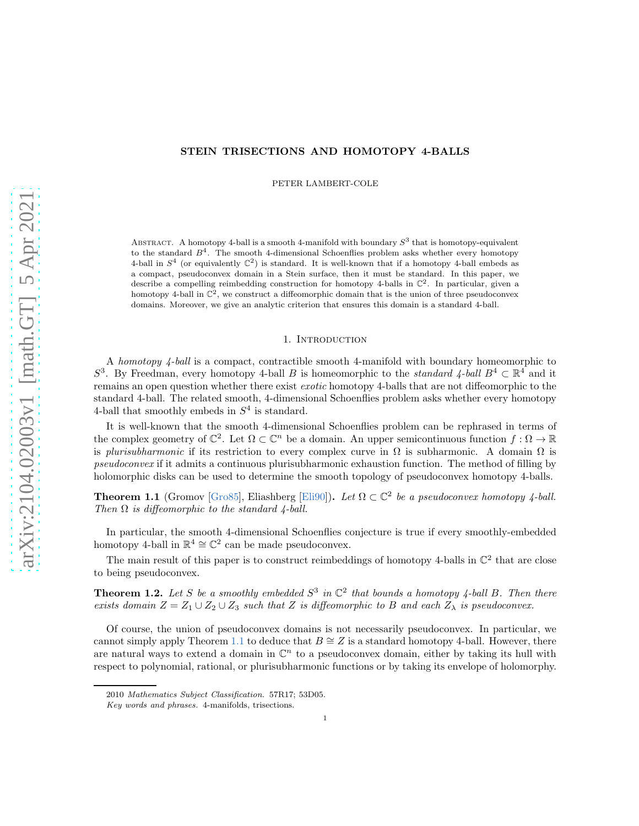## STEIN TRISECTIONS AND HOMOTOPY 4-BALLS

PETER LAMBERT-COLE

ABSTRACT. A homotopy 4-ball is a smooth 4-manifold with boundary  $S^3$  that is homotopy-equivalent to the standard  $B<sup>4</sup>$ . The smooth 4-dimensional Schoenflies problem asks whether every homotopy 4-ball in  $S<sup>4</sup>$  (or equivalently  $\mathbb{C}^2$ ) is standard. It is well-known that if a homotopy 4-ball embeds as a compact, pseudoconvex domain in a Stein surface, then it must be standard. In this paper, we describe a compelling reimbedding construction for homotopy 4-balls in  $\mathbb{C}^2$ . In particular, given a homotopy 4-ball in  $\mathbb{C}^2$ , we construct a diffeomorphic domain that is the union of three pseudoconvex domains. Moreover, we give an analytic criterion that ensures this domain is a standard 4-ball.

# 1. INTRODUCTION

A homotopy 4-ball is a compact, contractible smooth 4-manifold with boundary homeomorphic to S<sup>3</sup>. By Freedman, every homotopy 4-ball B is homeomorphic to the *standard 4-ball*  $B^4 \subset \mathbb{R}^4$  and it remains an open question whether there exist *exotic* homotopy 4-balls that are not diffeomorphic to the standard 4-ball. The related smooth, 4-dimensional Schoenflies problem asks whether every homotopy 4-ball that smoothly embeds in  $S<sup>4</sup>$  is standard.

It is well-known that the smooth 4-dimensional Schoenflies problem can be rephrased in terms of the complex geometry of  $\mathbb{C}^2$ . Let  $\Omega \subset \mathbb{C}^n$  be a domain. An upper semicontinuous function  $f : \Omega \to \mathbb{R}$ is plurisubharmonic if its restriction to every complex curve in  $\Omega$  is subharmonic. A domain  $\Omega$  is pseudoconvex if it admits a continuous plurisubharmonic exhaustion function. The method of filling by holomorphic disks can be used to determine the smooth topology of pseudoconvex homotopy 4-balls.

<span id="page-0-0"></span>**Theorem 1.1** (Gromov [\[Gro85\]](#page-16-0), Eliashberg [\[Eli90\]](#page-16-1)). Let  $\Omega \subset \mathbb{C}^2$  be a pseudoconvex homotopy 4-ball. Then  $\Omega$  is diffeomorphic to the standard 4-ball.

In particular, the smooth 4-dimensional Schoenflies conjecture is true if every smoothly-embedded homotopy 4-ball in  $\mathbb{R}^4 \cong \mathbb{C}^2$  can be made pseudoconvex.

The main result of this paper is to construct reimbeddings of homotopy 4-balls in  $\mathbb{C}^2$  that are close to being pseudoconvex.

<span id="page-0-1"></span>**Theorem 1.2.** Let S be a smoothly embedded  $S^3$  in  $\mathbb{C}^2$  that bounds a homotopy 4-ball B. Then there exists domain  $Z = Z_1 \cup Z_2 \cup Z_3$  such that Z is diffeomorphic to B and each  $Z_\lambda$  is pseudoconvex.

Of course, the union of pseudoconvex domains is not necessarily pseudoconvex. In particular, we cannot simply apply Theorem [1.1](#page-0-0) to deduce that  $B \cong Z$  is a standard homotopy 4-ball. However, there are natural ways to extend a domain in  $\mathbb{C}^n$  to a pseudoconvex domain, either by taking its hull with respect to polynomial, rational, or plurisubharmonic functions or by taking its envelope of holomorphy.

<sup>2010</sup> Mathematics Subject Classification. 57R17; 53D05.

Key words and phrases. 4-manifolds, trisections.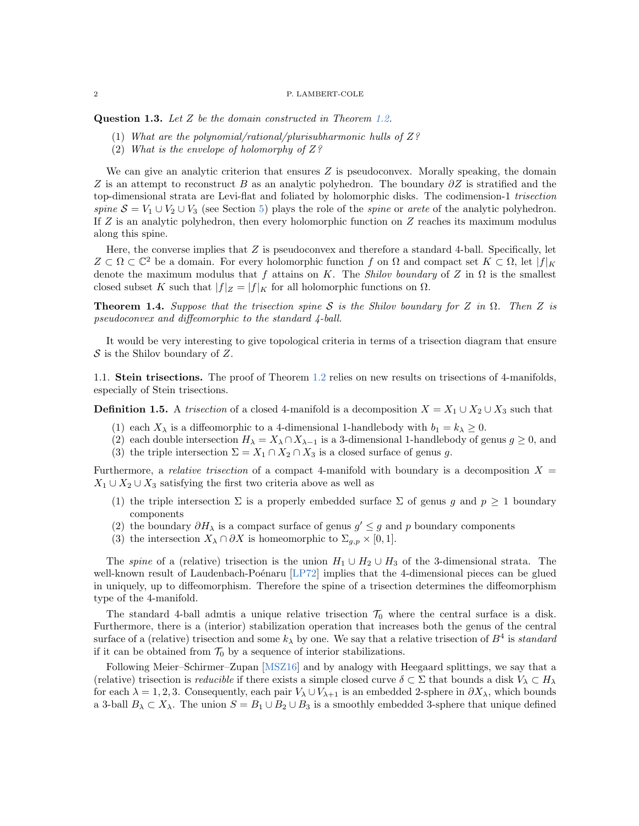Question 1.3. Let Z be the domain constructed in Theorem [1.2.](#page-0-1)

- (1) What are the polynomial/rational/plurisubharmonic hulls of  $Z$ ?
- (2) What is the envelope of holomorphy of  $Z$ ?

We can give an analytic criterion that ensures  $Z$  is pseudoconvex. Morally speaking, the domain Z is an attempt to reconstruct B as an analytic polyhedron. The boundary  $\partial Z$  is stratified and the top-dimensional strata are Levi-flat and foliated by holomorphic disks. The codimension-1 trisection spine  $S = V_1 \cup V_2 \cup V_3$  (see Section [5\)](#page-14-0) plays the role of the spine or arete of the analytic polyhedron. If  $Z$  is an analytic polyhedron, then every holomorphic function on  $Z$  reaches its maximum modulus along this spine.

Here, the converse implies that  $Z$  is pseudoconvex and therefore a standard 4-ball. Specifically, let  $Z \subset \Omega \subset \mathbb{C}^2$  be a domain. For every holomorphic function f on  $\Omega$  and compact set  $K \subset \Omega$ , let  $|f|_K$ denote the maximum modulus that f attains on K. The Shilov boundary of Z in  $\Omega$  is the smallest closed subset K such that  $|f|_Z = |f|_K$  for all holomorphic functions on  $\Omega$ .

<span id="page-1-0"></span>**Theorem 1.4.** Suppose that the trisection spine S is the Shilov boundary for Z in  $\Omega$ . Then Z is pseudoconvex and diffeomorphic to the standard 4-ball.

It would be very interesting to give topological criteria in terms of a trisection diagram that ensure  $S$  is the Shilov boundary of Z.

1.1. Stein trisections. The proof of Theorem [1.2](#page-0-1) relies on new results on trisections of 4-manifolds, especially of Stein trisections.

**Definition 1.5.** A trisection of a closed 4-manifold is a decomposition  $X = X_1 \cup X_2 \cup X_3$  such that

- (1) each  $X_{\lambda}$  is a diffeomorphic to a 4-dimensional 1-handlebody with  $b_1 = k_{\lambda} \geq 0$ .
- (2) each double intersection  $H_{\lambda} = X_{\lambda} \cap X_{\lambda-1}$  is a 3-dimensional 1-handlebody of genus  $g \ge 0$ , and
- (3) the triple intersection  $\Sigma = X_1 \cap X_2 \cap X_3$  is a closed surface of genus g.

Furthermore, a *relative trisection* of a compact 4-manifold with boundary is a decomposition  $X =$  $X_1 \cup X_2 \cup X_3$  satisfying the first two criteria above as well as

- (1) the triple intersection  $\Sigma$  is a properly embedded surface  $\Sigma$  of genus g and  $p \ge 1$  boundary components
- (2) the boundary  $\partial H_{\lambda}$  is a compact surface of genus  $g' \leq g$  and p boundary components
- (3) the intersection  $X_\lambda \cap \partial X$  is homeomorphic to  $\Sigma_{g,p} \times [0,1]$ .

The *spine* of a (relative) trisection is the union  $H_1 \cup H_2 \cup H_3$  of the 3-dimensional strata. The well-known result of Laudenbach-Poénaru [\[LP72\]](#page-16-2) implies that the 4-dimensional pieces can be glued in uniquely, up to diffeomorphism. Therefore the spine of a trisection determines the diffeomorphism type of the 4-manifold.

The standard 4-ball admtis a unique relative trisection  $\mathcal{T}_0$  where the central surface is a disk. Furthermore, there is a (interior) stabilization operation that increases both the genus of the central surface of a (relative) trisection and some  $k_{\lambda}$  by one. We say that a relative trisection of  $B^4$  is standard if it can be obtained from  $\mathcal{T}_0$  by a sequence of interior stabilizations.

Following Meier–Schirmer–Zupan [\[MSZ16\]](#page-16-3) and by analogy with Heegaard splittings, we say that a (relative) trisection is *reducible* if there exists a simple closed curve  $\delta \subset \Sigma$  that bounds a disk  $V_\lambda \subset H_\lambda$ for each  $\lambda = 1, 2, 3$ . Consequently, each pair  $V_{\lambda} \cup V_{\lambda+1}$  is an embedded 2-sphere in  $\partial X_{\lambda}$ , which bounds a 3-ball  $B_\lambda \subset X_\lambda$ . The union  $S = B_1 \cup B_2 \cup B_3$  is a smoothly embedded 3-sphere that unique defined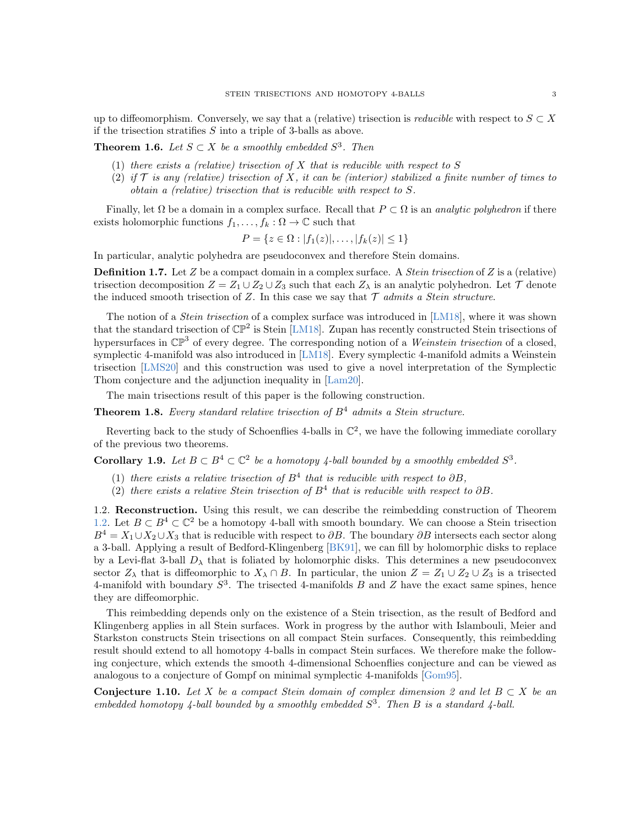up to diffeomorphism. Conversely, we say that a (relative) trisection is *reducible* with respect to  $S \subset X$ if the trisection stratifies  $S$  into a triple of 3-balls as above.

**Theorem 1.6.** Let  $S \subset X$  be a smoothly embedded  $S^3$ . Then

- (1) there exists a (relative) trisection of  $X$  that is reducible with respect to  $S$
- (2) if  $\mathcal T$  is any (relative) trisection of X, it can be (interior) stabilized a finite number of times to obtain a (relative) trisection that is reducible with respect to S.

Finally, let  $\Omega$  be a domain in a complex surface. Recall that  $P \subset \Omega$  is an *analytic polyhedron* if there exists holomorphic functions  $f_1, \ldots, f_k : \Omega \to \mathbb{C}$  such that

$$
P = \{ z \in \Omega : |f_1(z)|, \ldots, |f_k(z)| \le 1 \}
$$

In particular, analytic polyhedra are pseudoconvex and therefore Stein domains.

**Definition 1.7.** Let Z be a compact domain in a complex surface. A *Stein trisection* of Z is a (relative) trisection decomposition  $Z = Z_1 \cup Z_2 \cup Z_3$  such that each  $Z_\lambda$  is an analytic polyhedron. Let  $\mathcal T$  denote the induced smooth trisection of Z. In this case we say that  $\mathcal T$  admits a Stein structure.

The notion of a *Stein trisection* of a complex surface was introduced in [\[LM18\]](#page-16-4), where it was shown that the standard trisection of  $\mathbb{CP}^2$  is Stein [\[LM18\]](#page-16-4). Zupan has recently constructed Stein trisections of hypersurfaces in  $\mathbb{CP}^3$  of every degree. The corresponding notion of a Weinstein trisection of a closed, symplectic 4-manifold was also introduced in [\[LM18\]](#page-16-4). Every symplectic 4-manifold admits a Weinstein trisection [\[LMS20\]](#page-16-5) and this construction was used to give a novel interpretation of the Symplectic Thom conjecture and the adjunction inequality in [\[Lam20\]](#page-16-6).

The main trisections result of this paper is the following construction.

**Theorem 1.8.** Every standard relative trisection of  $B<sup>4</sup>$  admits a Stein structure.

Reverting back to the study of Schoenflies 4-balls in  $\mathbb{C}^2$ , we have the following immediate corollary of the previous two theorems.

**Corollary 1.9.** Let  $B \subset B^4 \subset \mathbb{C}^2$  be a homotopy 4-ball bounded by a smoothly embedded  $S^3$ .

- (1) there exists a relative trisection of  $B<sup>4</sup>$  that is reducible with respect to  $\partial B$ ,
- (2) there exists a relative Stein trisection of  $B<sup>4</sup>$  that is reducible with respect to  $\partial B$ .

1.2. Reconstruction. Using this result, we can describe the reimbedding construction of Theorem [1.2.](#page-0-1) Let  $B \subset B^4 \subset \mathbb{C}^2$  be a homotopy 4-ball with smooth boundary. We can choose a Stein trisection  $B^4 = X_1 \cup X_2 \cup X_3$  that is reducible with respect to  $\partial B$ . The boundary  $\partial B$  intersects each sector along a 3-ball. Applying a result of Bedford-Klingenberg [\[BK91\]](#page-16-7), we can fill by holomorphic disks to replace by a Levi-flat 3-ball  $D_{\lambda}$  that is foliated by holomorphic disks. This determines a new pseudoconvex sector  $Z_\lambda$  that is diffeomorphic to  $X_\lambda \cap B$ . In particular, the union  $Z = Z_1 \cup Z_2 \cup Z_3$  is a trisected 4-manifold with boundary  $S^3$ . The trisected 4-manifolds B and Z have the exact same spines, hence they are diffeomorphic.

This reimbedding depends only on the existence of a Stein trisection, as the result of Bedford and Klingenberg applies in all Stein surfaces. Work in progress by the author with Islambouli, Meier and Starkston constructs Stein trisections on all compact Stein surfaces. Consequently, this reimbedding result should extend to all homotopy 4-balls in compact Stein surfaces. We therefore make the following conjecture, which extends the smooth 4-dimensional Schoenflies conjecture and can be viewed as analogous to a conjecture of Gompf on minimal symplectic 4-manifolds [\[Gom95\]](#page-16-8).

Conjecture 1.10. Let X be a compact Stein domain of complex dimension 2 and let  $B \subset X$  be an embedded homotopy 4-ball bounded by a smoothly embedded  $S^3$ . Then B is a standard 4-ball.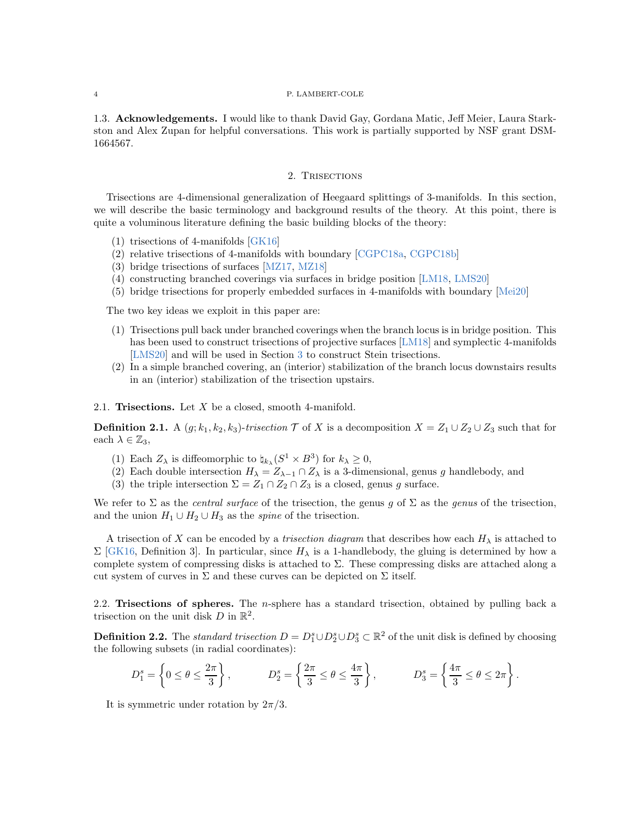1.3. Acknowledgements. I would like to thank David Gay, Gordana Matic, Jeff Meier, Laura Starkston and Alex Zupan for helpful conversations. This work is partially supported by NSF grant DSM-1664567.

### 2. TRISECTIONS

Trisections are 4-dimensional generalization of Heegaard splittings of 3-manifolds. In this section, we will describe the basic terminology and background results of the theory. At this point, there is quite a voluminous literature defining the basic building blocks of the theory:

- (1) trisections of 4-manifolds [\[GK16\]](#page-16-9)
- (2) relative trisections of 4-manifolds with boundary [\[CGPC18a,](#page-16-10) [CGPC18b\]](#page-16-11)
- (3) bridge trisections of surfaces [\[MZ17,](#page-16-12) [MZ18\]](#page-16-13)
- (4) constructing branched coverings via surfaces in bridge position [\[LM18,](#page-16-4) [LMS20\]](#page-16-5)
- (5) bridge trisections for properly embedded surfaces in 4-manifolds with boundary [\[Mei20\]](#page-16-14)

The two key ideas we exploit in this paper are:

- (1) Trisections pull back under branched coverings when the branch locus is in bridge position. This has been used to construct trisections of projective surfaces [\[LM18\]](#page-16-4) and symplectic 4-manifolds [\[LMS20\]](#page-16-5) and will be used in Section [3](#page-8-0) to construct Stein trisections.
- (2) In a simple branched covering, an (interior) stabilization of the branch locus downstairs results in an (interior) stabilization of the trisection upstairs.

2.1. Trisections. Let  $X$  be a closed, smooth 4-manifold.

**Definition 2.1.** A  $(g; k_1, k_2, k_3)$ -trisection  $\mathcal{T}$  of X is a decomposition  $X = Z_1 \cup Z_2 \cup Z_3$  such that for each  $\lambda \in \mathbb{Z}_3$ ,

- (1) Each  $Z_{\lambda}$  is diffeomorphic to  $\natural_{k_{\lambda}}(S^1 \times B^3)$  for  $k_{\lambda} \geq 0$ ,
- (2) Each double intersection  $H_{\lambda} = Z_{\lambda-1} \cap Z_{\lambda}$  is a 3-dimensional, genus g handlebody, and
- (3) the triple intersection  $\Sigma = Z_1 \cap Z_2 \cap Z_3$  is a closed, genus g surface.

We refer to  $\Sigma$  as the *central surface* of the trisection, the genus g of  $\Sigma$  as the genus of the trisection, and the union  $H_1 \cup H_2 \cup H_3$  as the *spine* of the trisection.

A trisection of X can be encoded by a *trisection diagram* that describes how each  $H_{\lambda}$  is attached to  $\Sigma$  [\[GK16,](#page-16-9) Definition 3]. In particular, since  $H_{\lambda}$  is a 1-handlebody, the gluing is determined by how a complete system of compressing disks is attached to  $\Sigma$ . These compressing disks are attached along a cut system of curves in  $\Sigma$  and these curves can be depicted on  $\Sigma$  itself.

2.2. Trisections of spheres. The *n*-sphere has a standard trisection, obtained by pulling back a trisection on the unit disk  $D$  in  $\mathbb{R}^2$ .

**Definition 2.2.** The standard trisection  $D = D_1^s \cup D_2^s \cup D_3^s \subset \mathbb{R}^2$  of the unit disk is defined by choosing the following subsets (in radial coordinates):

$$
D_1^s = \left\{0 \leq \theta \leq \frac{2\pi}{3}\right\}, \qquad D_2^s = \left\{\frac{2\pi}{3} \leq \theta \leq \frac{4\pi}{3}\right\}, \qquad D_3^s = \left\{\frac{4\pi}{3} \leq \theta \leq 2\pi\right\}.
$$

It is symmetric under rotation by  $2\pi/3$ .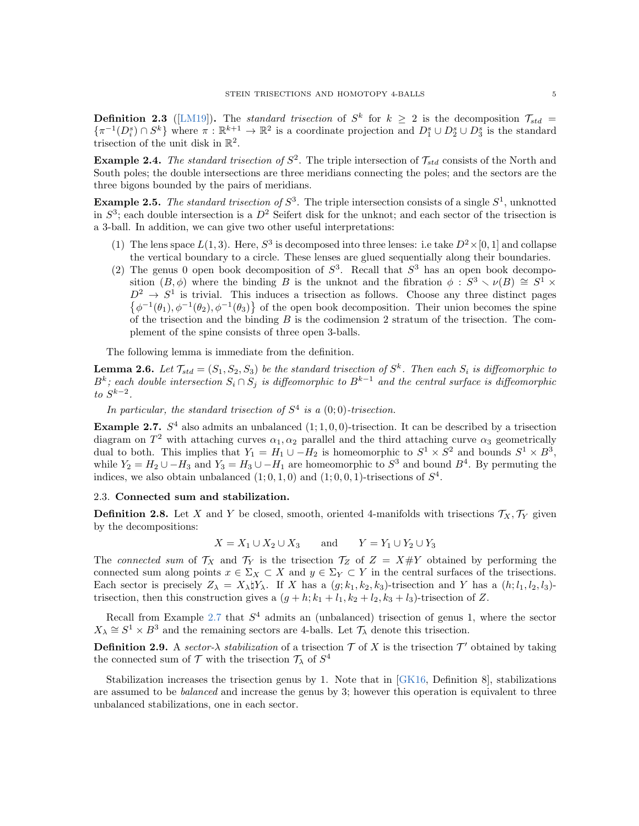**Definition 2.3** ([\[LM19\]](#page-16-15)). The standard trisection of  $S^k$  for  $k \geq 2$  is the decomposition  $\mathcal{T}_{std} =$  $\{\pi^{-1}(D_i^s) \cap S^k\}$  where  $\pi : \mathbb{R}^{k+1} \to \mathbb{R}^2$  is a coordinate projection and  $D_1^s \cup D_2^s \cup D_3^s$  is the standard trisection of the unit disk in  $\mathbb{R}^2$ .

**Example 2.4.** The standard trisection of  $S^2$ . The triple intersection of  $\mathcal{T}_{std}$  consists of the North and South poles; the double intersections are three meridians connecting the poles; and the sectors are the three bigons bounded by the pairs of meridians.

**Example 2.5.** The standard trisection of  $S^3$ . The triple intersection consists of a single  $S^1$ , unknotted in  $S^3$ ; each double intersection is a  $D^2$  Seifert disk for the unknot; and each sector of the trisection is a 3-ball. In addition, we can give two other useful interpretations:

- (1) The lens space  $L(1,3)$ . Here,  $S^3$  is decomposed into three lenses: i.e take  $D^2 \times [0,1]$  and collapse the vertical boundary to a circle. These lenses are glued sequentially along their boundaries.
- (2) The genus 0 open book decomposition of  $S^3$ . Recall that  $S^3$  has an open book decomposition  $(B, \phi)$  where the binding B is the unknot and the fibration  $\phi : S^3 \setminus \nu(B) \cong S^1 \times$  $D^2 \rightarrow S^1$  is trivial. This induces a trisection as follows. Choose any three distinct pages  $\{\phi^{-1}(\theta_1), \phi^{-1}(\theta_2), \phi^{-1}(\theta_3)\}\$  of the open book decomposition. Their union becomes the spine of the trisection and the binding  $B$  is the codimension 2 stratum of the trisection. The complement of the spine consists of three open 3-balls.

The following lemma is immediate from the definition.

**Lemma 2.6.** Let  $\mathcal{T}_{std} = (S_1, S_2, S_3)$  be the standard trisection of  $S^k$ . Then each  $S_i$  is diffeomorphic to  $B^k$ ; each double intersection  $S_i \cap S_j$  is diffeomorphic to  $B^{k-1}$  and the central surface is diffeomorphic  $to S^{k-2}.$ 

In particular, the standard trisection of  $S<sup>4</sup>$  is a  $(0,0)$ -trisection.

<span id="page-4-0"></span>**Example 2.7.**  $S<sup>4</sup>$  also admits an unbalanced  $(1; 1, 0, 0)$ -trisection. It can be described by a trisection diagram on  $T^2$  with attaching curves  $\alpha_1, \alpha_2$  parallel and the third attaching curve  $\alpha_3$  geometrically dual to both. This implies that  $Y_1 = H_1 \cup -H_2$  is homeomorphic to  $S^1 \times S^2$  and bounds  $S^1 \times B^3$ , while  $Y_2 = H_2 \cup -H_3$  and  $Y_3 = H_3 \cup -H_1$  are homeomorphic to  $S^3$  and bound  $B^4$ . By permuting the indices, we also obtain unbalanced  $(1,0,1,0)$  and  $(1,0,0,1)$ -trisections of  $S<sup>4</sup>$ .

# 2.3. Connected sum and stabilization.

<span id="page-4-1"></span>**Definition 2.8.** Let X and Y be closed, smooth, oriented 4-manifolds with trisections  $\mathcal{T}_X, \mathcal{T}_Y$  given by the decompositions:

$$
X = X_1 \cup X_2 \cup X_3 \qquad \text{and} \qquad Y = Y_1 \cup Y_2 \cup Y_3
$$

The connected sum of  $\mathcal{T}_X$  and  $\mathcal{T}_Y$  is the trisection  $\mathcal{T}_Z$  of  $Z = X \# Y$  obtained by performing the connected sum along points  $x \in \Sigma_X \subset X$  and  $y \in \Sigma_Y \subset Y$  in the central surfaces of the trisections. Each sector is precisely  $Z_{\lambda} = X_{\lambda} \natural Y_{\lambda}$ . If X has a  $(g; k_1, k_2, k_3)$ -trisection and Y has a  $(h; l_1, l_2, l_3)$ trisection, then this construction gives a  $(g + h; k_1 + l_1, k_2 + l_2, k_3 + l_3)$ -trisection of Z.

Recall from Example [2.7](#page-4-0) that  $S<sup>4</sup>$  admits an (unbalanced) trisection of genus 1, where the sector  $X_{\lambda} \cong S^1 \times B^3$  and the remaining sectors are 4-balls. Let  $\mathcal{T}_{\lambda}$  denote this trisection.

**Definition 2.9.** A sector- $\lambda$  stabilization of a trisection  $\mathcal{T}$  of X is the trisection  $\mathcal{T}'$  obtained by taking the connected sum of  $\mathcal T$  with the trisection  $\mathcal T_\lambda$  of  $S^4$ 

Stabilization increases the trisection genus by 1. Note that in [\[GK16,](#page-16-9) Definition 8], stabilizations are assumed to be *balanced* and increase the genus by 3; however this operation is equivalent to three unbalanced stabilizations, one in each sector.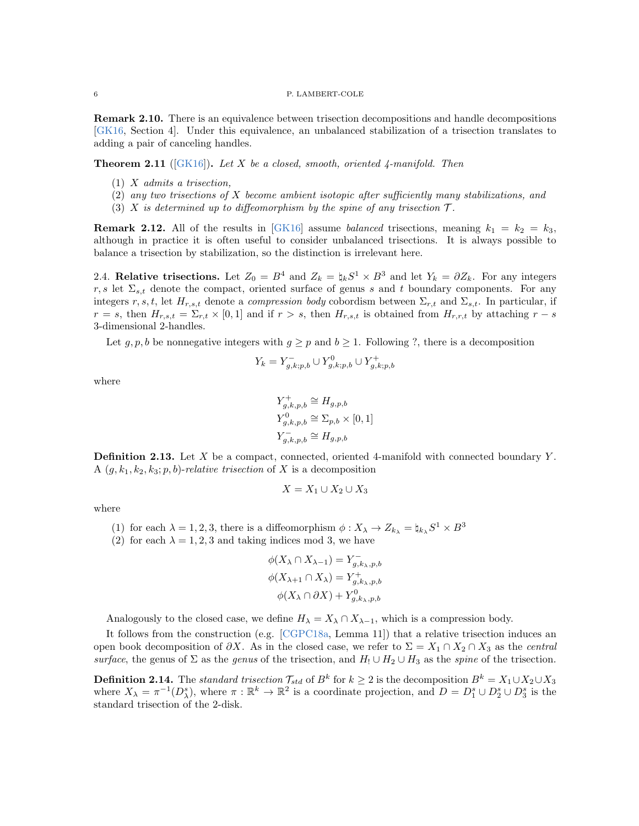**Remark 2.10.** There is an equivalence between trisection decompositions and handle decompositions [\[GK16,](#page-16-9) Section 4]. Under this equivalence, an unbalanced stabilization of a trisection translates to adding a pair of canceling handles.

**Theorem 2.11** ( $|GK16|$ ). Let X be a closed, smooth, oriented 4-manifold. Then

- $(1)$  X admits a trisection,
- (2) any two trisections of X become ambient isotopic after sufficiently many stabilizations, and
- (3) X is determined up to diffeomorphism by the spine of any trisection  $\mathcal{T}$ .

**Remark 2.12.** All of the results in [\[GK16\]](#page-16-9) assume *balanced* trisections, meaning  $k_1 = k_2 = k_3$ , although in practice it is often useful to consider unbalanced trisections. It is always possible to balance a trisection by stabilization, so the distinction is irrelevant here.

2.4. Relative trisections. Let  $Z_0 = B^4$  and  $Z_k = \natural_k S^1 \times B^3$  and let  $Y_k = \partial Z_k$ . For any integers r, s let  $\Sigma_{s,t}$  denote the compact, oriented surface of genus s and t boundary components. For any integers r, s, t, let  $H_{r,s,t}$  denote a *compression body* cobordism between  $\Sigma_{r,t}$  and  $\Sigma_{s,t}$ . In particular, if  $r = s$ , then  $H_{r,s,t} = \Sigma_{r,t} \times [0,1]$  and if  $r > s$ , then  $H_{r,s,t}$  is obtained from  $H_{r,r,t}$  by attaching  $r - s$ 3-dimensional 2-handles.

Let  $g, p, b$  be nonnegative integers with  $g \geq p$  and  $b \geq 1$ . Following ?, there is a decomposition

$$
Y_k = Y_{g,k;p,b}^- \cup Y_{g,k;p,b}^0 \cup Y_{g,k;p,b}^+
$$

where

$$
Y_{g,k,p,b}^{+} \cong H_{g,p,b}
$$
  
\n
$$
Y_{g,k,p,b}^{0} \cong \Sigma_{p,b} \times [0,1]
$$
  
\n
$$
Y_{g,k,p,b}^{-} \cong H_{g,p,b}
$$

**Definition 2.13.** Let X be a compact, connected, oriented 4-manifold with connected boundary Y. A  $(g, k_1, k_2, k_3; p, b)$ -relative trisection of X is a decomposition

$$
X = X_1 \cup X_2 \cup X_3
$$

where

- (1) for each  $\lambda = 1, 2, 3$ , there is a diffeomorphism  $\phi: X_{\lambda} \to Z_{k_{\lambda}} = \natural_{k_{\lambda}} S^1 \times B^3$
- (2) for each  $\lambda = 1, 2, 3$  and taking indices mod 3, we have

$$
\phi(X_{\lambda} \cap X_{\lambda-1}) = Y_{g,k_{\lambda},p,b}^{-}
$$

$$
\phi(X_{\lambda+1} \cap X_{\lambda}) = Y_{g,k_{\lambda},p,b}^{+}
$$

$$
\phi(X_{\lambda} \cap \partial X) + Y_{g,k_{\lambda},p,b}^{0}
$$

Analogously to the closed case, we define  $H_{\lambda} = X_{\lambda} \cap X_{\lambda-1}$ , which is a compression body.

It follows from the construction (e.g. [\[CGPC18a,](#page-16-10) Lemma 11]) that a relative trisection induces an open book decomposition of  $\partial X$ . As in the closed case, we refer to  $\Sigma = X_1 \cap X_2 \cap X_3$  as the central surface, the genus of  $\Sigma$  as the genus of the trisection, and  $H_! \cup H_2 \cup H_3$  as the spine of the trisection.

<span id="page-5-0"></span>**Definition 2.14.** The standard trisection  $\mathcal{T}_{std}$  of  $B^k$  for  $k \geq 2$  is the decomposition  $B^k = X_1 \cup X_2 \cup X_3$ where  $X_{\lambda} = \pi^{-1}(D_{\lambda}^s)$ , where  $\pi : \mathbb{R}^k \to \mathbb{R}^2$  is a coordinate projection, and  $D = D_1^s \cup D_2^s \cup D_3^s$  is the standard trisection of the 2-disk.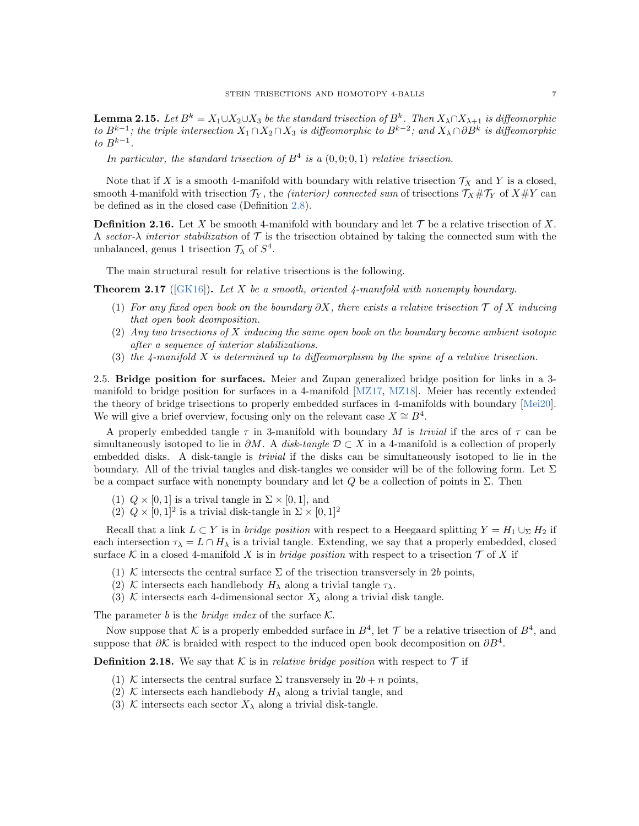**Lemma 2.15.** Let  $B^k = X_1 \cup X_2 \cup X_3$  be the standard trisection of  $B^k$ . Then  $X_{\lambda} \cap X_{\lambda+1}$  is diffeomorphic to  $B^{k-1}$ ; the triple intersection  $X_1 \cap X_2 \cap X_3$  is diffeomorphic to  $B^{k-2}$ ; and  $X_\lambda \cap \partial B^k$  is diffeomorphic to  $B^{k-1}$ .

In particular, the standard trisection of  $B<sup>4</sup>$  is a  $(0,0;0,1)$  relative trisection.

Note that if X is a smooth 4-manifold with boundary with relative trisection  $\mathcal{T}_X$  and Y is a closed, smooth 4-manifold with trisection  $\mathcal{T}_Y$ , the *(interior) connected sum* of trisections  $\mathcal{T}_X \# \mathcal{T}_Y$  of  $X \# Y$  can be defined as in the closed case (Definition [2.8\)](#page-4-1).

**Definition 2.16.** Let X be smooth 4-manifold with boundary and let  $\mathcal T$  be a relative trisection of X. A sector- $\lambda$  interior stabilization of T is the trisection obtained by taking the connected sum with the unbalanced, genus 1 trisection  $\mathcal{T}_{\lambda}$  of  $S^4$ .

The main structural result for relative trisections is the following.

**Theorem 2.17** ( $[GK16]$ ). Let X be a smooth, oriented 4-manifold with nonempty boundary.

- (1) For any fixed open book on the boundary  $\partial X$ , there exists a relative trisection  $\mathcal T$  of X inducing that open book deomposition.
- $(2)$  Any two trisections of X inducing the same open book on the boundary become ambient isotopic after a sequence of interior stabilizations.
- (3) the 4-manifold X is determined up to diffeomorphism by the spine of a relative trisection.

2.5. Bridge position for surfaces. Meier and Zupan generalized bridge position for links in a 3 manifold to bridge position for surfaces in a 4-manifold [\[MZ17,](#page-16-12) [MZ18\]](#page-16-13). Meier has recently extended the theory of bridge trisections to properly embedded surfaces in 4-manifolds with boundary [\[Mei20\]](#page-16-14). We will give a brief overview, focusing only on the relevant case  $X \cong B^4$ .

A properly embedded tangle  $\tau$  in 3-manifold with boundary M is *trivial* if the arcs of  $\tau$  can be simultaneously isotoped to lie in  $\partial M$ . A disk-tangle  $\mathcal{D} \subset X$  in a 4-manifold is a collection of properly embedded disks. A disk-tangle is *trivial* if the disks can be simultaneously isotoped to lie in the boundary. All of the trivial tangles and disk-tangles we consider will be of the following form. Let  $\Sigma$ be a compact surface with nonempty boundary and let  $Q$  be a collection of points in  $\Sigma$ . Then

- (1)  $Q \times [0, 1]$  is a trival tangle in  $\Sigma \times [0, 1]$ , and
- (2)  $Q \times [0,1]^2$  is a trivial disk-tangle in  $\Sigma \times [0,1]^2$

Recall that a link  $L \subset Y$  is in *bridge position* with respect to a Heegaard splitting  $Y = H_1 \cup_{\Sigma} H_2$  if each intersection  $\tau_{\lambda} = L \cap H_{\lambda}$  is a trivial tangle. Extending, we say that a properly embedded, closed surface K in a closed 4-manifold X is in *bridge position* with respect to a trisection  $\mathcal T$  of X if

- (1) K intersects the central surface  $\Sigma$  of the trisection transversely in 2b points,
- (2) K intersects each handlebody  $H_{\lambda}$  along a trivial tangle  $\tau_{\lambda}$ .
- (3) K intersects each 4-dimensional sector  $X_{\lambda}$  along a trivial disk tangle.

The parameter b is the *bridge index* of the surface  $\mathcal{K}$ .

Now suppose that K is a properly embedded surface in  $B^4$ , let T be a relative trisection of  $B^4$ , and suppose that  $\partial \mathcal{K}$  is braided with respect to the induced open book decomposition on  $\partial B^4$ .

**Definition 2.18.** We say that K is in *relative bridge position* with respect to  $\mathcal{T}$  if

- (1) K intersects the central surface  $\Sigma$  transversely in  $2b + n$  points,
- (2) K intersects each handlebody  $H_{\lambda}$  along a trivial tangle, and
- (3) K intersects each sector  $X_{\lambda}$  along a trivial disk-tangle.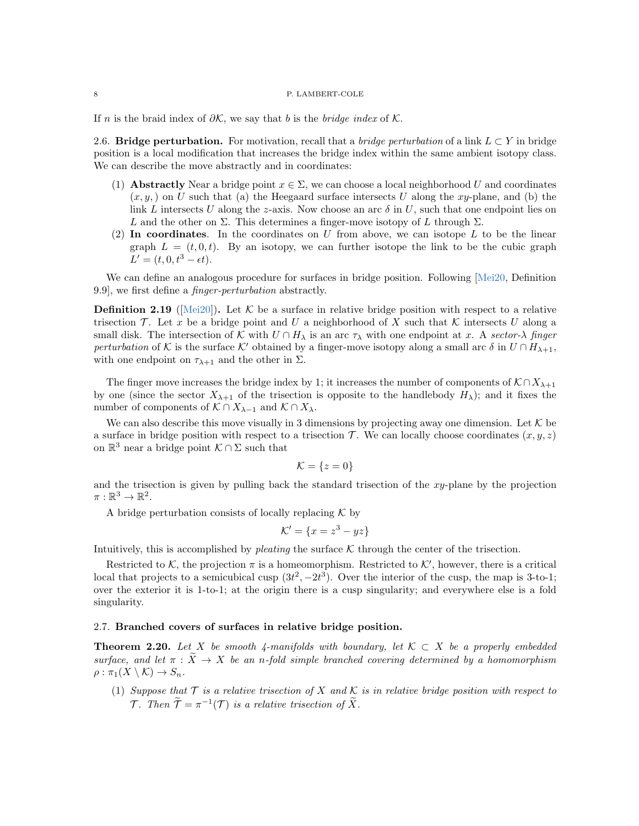<span id="page-7-1"></span>If n is the braid index of  $\partial K$ , we say that b is the bridge index of K.

2.6. Bridge perturbation. For motivation, recall that a *bridge perturbation* of a link  $L \subset Y$  in bridge position is a local modification that increases the bridge index within the same ambient isotopy class. We can describe the move abstractly and in coordinates:

- (1) **Abstractly** Near a bridge point  $x \in \Sigma$ , we can choose a local neighborhood U and coordinates  $(x, y)$  on U such that (a) the Heegaard surface intersects U along the xy-plane, and (b) the link L intersects U along the z-axis. Now choose an arc  $\delta$  in U, such that one endpoint lies on L and the other on  $\Sigma$ . This determines a finger-move isotopy of L through  $\Sigma$ .
- (2) In coordinates. In the coordinates on  $U$  from above, we can isotope  $L$  to be the linear graph  $L = (t, 0, t)$ . By an isotopy, we can further isotope the link to be the cubic graph  $L' = (t, 0, t^3 - \epsilon t).$

We can define an analogous procedure for surfaces in bridge position. Following [\[Mei20,](#page-16-14) Definition] 9.9], we first define a finger-perturbation abstractly.

**Definition 2.19** ( $[\text{Mei20}]$ ). Let K be a surface in relative bridge position with respect to a relative trisection T. Let x be a bridge point and U a neighborhood of X such that K intersects U along a small disk. The intersection of K with  $U \cap H_\lambda$  is an arc  $\tau_\lambda$  with one endpoint at x. A sector- $\lambda$  finger perturbation of K is the surface K' obtained by a finger-move isotopy along a small arc  $\delta$  in  $U \cap H_{\lambda+1}$ , with one endpoint on  $\tau_{\lambda+1}$  and the other in  $\Sigma$ .

The finger move increases the bridge index by 1; it increases the number of components of  $K \cap X_{\lambda+1}$ by one (since the sector  $X_{\lambda+1}$  of the trisection is opposite to the handlebody  $H_{\lambda}$ ); and it fixes the number of components of  $K \cap X_{\lambda-1}$  and  $K \cap X_{\lambda}$ .

We can also describe this move visually in 3 dimensions by projecting away one dimension. Let  $K$  be a surface in bridge position with respect to a trisection  $\mathcal{T}$ . We can locally choose coordinates  $(x, y, z)$ on  $\mathbb{R}^3$  near a bridge point  $\mathcal{K} \cap \Sigma$  such that

$$
\mathcal{K} = \{z = 0\}
$$

and the trisection is given by pulling back the standard trisection of the xy-plane by the projection  $\pi:\mathbb{R}^3\to\mathbb{R}^2.$ 

A bridge perturbation consists of locally replacing  $\mathcal K$  by

$$
\mathcal{K}' = \{x = z^3 - yz\}
$$

Intuitively, this is accomplished by *pleating* the surface  $K$  through the center of the trisection.

Restricted to K, the projection  $\pi$  is a homeomorphism. Restricted to K', however, there is a critical local that projects to a semicubical cusp  $(3t^2, -2t^3)$ . Over the interior of the cusp, the map is 3-to-1; over the exterior it is 1-to-1; at the origin there is a cusp singularity; and everywhere else is a fold singularity.

# 2.7. Branched covers of surfaces in relative bridge position.

<span id="page-7-0"></span>**Theorem 2.20.** Let X be smooth 4-manifolds with boundary, let  $K \subset X$  be a properly embedded surface, and let  $\pi : \widetilde{X} \to X$  be an n-fold simple branched covering determined by a homomorphism  $\rho : \pi_1(X \setminus \mathcal{K}) \to S_n.$ 

(1) Suppose that  $\mathcal T$  is a relative trisection of X and K is in relative bridge position with respect to *T*. Then  $\widetilde{\mathcal{T}} = \pi^{-1}(\mathcal{T})$  is a relative trisection of  $\widetilde{X}$ .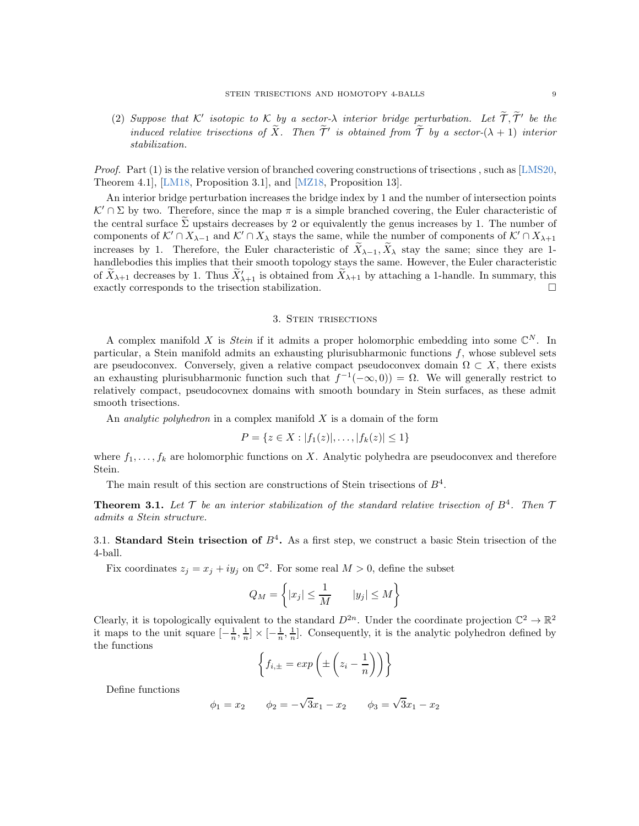(2) Suppose that K' isotopic to K by a sector- $\lambda$  interior bridge perturbation. Let  $\tilde{\mathcal{T}}, \tilde{\mathcal{T}}'$  be the induced relative trisections of  $\widetilde{X}$ . Then  $\widetilde{T}'$  is obtained from  $\widetilde{T}$  by a sector- $(\lambda + 1)$  interior stabilization.

*Proof.* Part  $(1)$  is the relative version of branched covering constructions of trisections, such as [\[LMS20,](#page-16-5)] Theorem 4.1], [\[LM18,](#page-16-4) Proposition 3.1], and [\[MZ18,](#page-16-13) Proposition 13].

An interior bridge perturbation increases the bridge index by 1 and the number of intersection points  $\mathcal{K}' \cap \Sigma$  by two. Therefore, since the map  $\pi$  is a simple branched covering, the Euler characteristic of the central surface  $\tilde{\Sigma}$  upstairs decreases by 2 or equivalently the genus increases by 1. The number of components of  $K' \cap X_{\lambda-1}$  and  $K' \cap X_{\lambda}$  stays the same, while the number of components of  $K' \cap X_{\lambda+1}$ increases by 1. Therefore, the Euler characteristic of  $\widetilde{X}_{\lambda-1}, \widetilde{X}_{\lambda}$  stay the same; since they are 1handlebodies this implies that their smooth topology stays the same. However, the Euler characteristic of  $\tilde{X}_{\lambda+1}$  decreases by 1. Thus  $\tilde{X}'_{\lambda+1}$  is obtained from  $\tilde{X}_{\lambda+1}$  by attaching a 1-handle. In summary, this exactly corresponds to the trisection stabilization.

#### 3. Stein trisections

<span id="page-8-0"></span>A complex manifold X is *Stein* if it admits a proper holomorphic embedding into some  $\mathbb{C}^N$ . In particular, a Stein manifold admits an exhausting plurisubharmonic functions  $f$ , whose sublevel sets are pseudoconvex. Conversely, given a relative compact pseudoconvex domain  $\Omega \subset X$ , there exists an exhausting plurisubharmonic function such that  $f^{-1}(-\infty,0) = \Omega$ . We will generally restrict to relatively compact, pseudocovnex domains with smooth boundary in Stein surfaces, as these admit smooth trisections.

An *analytic polyhedron* in a complex manifold  $X$  is a domain of the form

$$
P = \{ z \in X : |f_1(z)|, \ldots, |f_k(z)| \le 1 \}
$$

where  $f_1, \ldots, f_k$  are holomorphic functions on X. Analytic polyhedra are pseudoconvex and therefore Stein.

The main result of this section are constructions of Stein trisections of  $B<sup>4</sup>$ .

<span id="page-8-1"></span>**Theorem 3.1.** Let  $\mathcal{T}$  be an interior stabilization of the standard relative trisection of  $B^4$ . Then  $\mathcal{T}$ admits a Stein structure.

3.1. Standard Stein trisection of  $B<sup>4</sup>$ . As a first step, we construct a basic Stein trisection of the 4-ball.

Fix coordinates  $z_j = x_j + iy_j$  on  $\mathbb{C}^2$ . For some real  $M > 0$ , define the subset

$$
Q_M = \left\{ |x_j| \le \frac{1}{M} \qquad |y_j| \le M \right\}
$$

Clearly, it is topologically equivalent to the standard  $D^{2n}$ . Under the coordinate projection  $\mathbb{C}^2 \to \mathbb{R}^2$ it maps to the unit square  $[-\frac{1}{n}, \frac{1}{n}] \times [-\frac{1}{n}, \frac{1}{n}]$ . Consequently, it is the analytic polyhedron defined by the functions

$$
\left\{f_{i,\pm} = exp\left(\pm \left(z_i - \frac{1}{n}\right)\right)\right\}
$$

Define functions

$$
\phi_1 = x_2
$$
  $\phi_2 = -\sqrt{3}x_1 - x_2$   $\phi_3 = \sqrt{3}x_1 - x_2$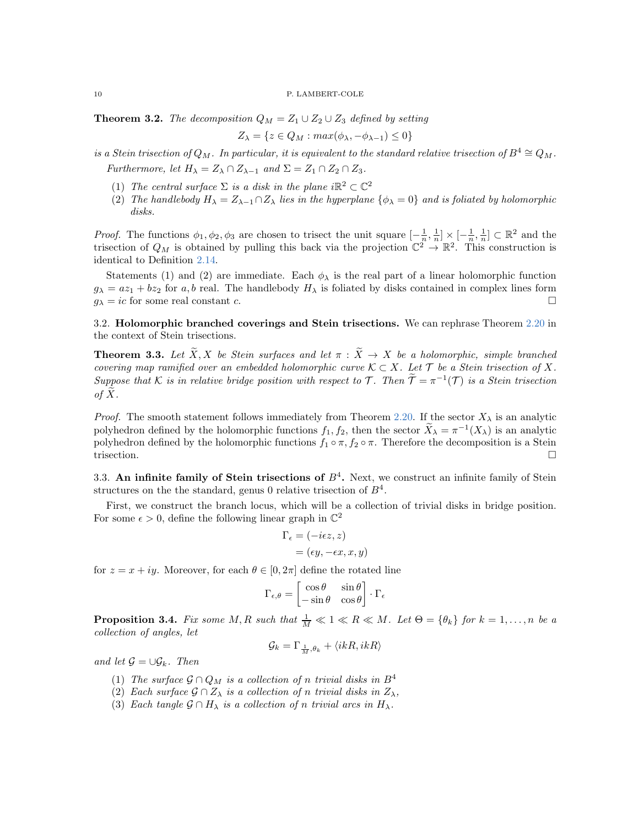<span id="page-9-0"></span>**Theorem 3.2.** The decomposition  $Q_M = Z_1 \cup Z_2 \cup Z_3$  defined by setting

$$
Z_{\lambda} = \{ z \in Q_M : max(\phi_{\lambda}, -\phi_{\lambda-1}) \le 0 \}
$$

is a Stein trisection of  $Q_M$ . In particular, it is equivalent to the standard relative trisection of  $B^4 \cong Q_M$ .

Furthermore, let  $H_{\lambda} = Z_{\lambda} \cap Z_{\lambda-1}$  and  $\Sigma = Z_1 \cap Z_2 \cap Z_3$ .

- (1) The central surface  $\Sigma$  is a disk in the plane i $\mathbb{R}^2 \subset \mathbb{C}^2$
- (2) The handlebody  $H_{\lambda} = Z_{\lambda-1} \cap Z_{\lambda}$  lies in the hyperplane  $\{\phi_{\lambda} = 0\}$  and is foliated by holomorphic disks.

*Proof.* The functions  $\phi_1, \phi_2, \phi_3$  are chosen to trisect the unit square  $\left[-\frac{1}{a}, \frac{1}{n}\right] \times \left[-\frac{1}{n}, \frac{1}{n}\right] \subset \mathbb{R}^2$  and the trisection of  $Q_M$  is obtained by pulling this back via the projection  $\mathbb{C}^2 \to \mathbb{R}^2$ . This construction is identical to Definition [2.14.](#page-5-0)

Statements (1) and (2) are immediate. Each  $\phi_{\lambda}$  is the real part of a linear holomorphic function  $g_{\lambda} = az_1 + bz_2$  for a, b real. The handlebody  $H_{\lambda}$  is foliated by disks contained in complex lines form  $g_{\lambda} = ic$  for some real constant c.

3.2. Holomorphic branched coverings and Stein trisections. We can rephrase Theorem [2.20](#page-7-0) in the context of Stein trisections.

<span id="page-9-1"></span>**Theorem 3.3.** Let  $\widetilde{X}, X$  be Stein surfaces and let  $\pi : \widetilde{X} \to X$  be a holomorphic, simple branched covering map ramified over an embedded holomorphic curve  $\mathcal{K} \subset X$ . Let  $\mathcal{T}$  be a Stein trisection of X. Suppose that K is in relative bridge position with respect to T. Then  $\tilde{\mathcal{T}} = \pi^{-1}(\mathcal{T})$  is a Stein trisection of  $X$ .

*Proof.* The smooth statement follows immediately from Theorem [2.20.](#page-7-0) If the sector  $X_{\lambda}$  is an analytic polyhedron defined by the holomorphic functions  $f_1, f_2$ , then the sector  $\tilde{X}_{\lambda} = \pi^{-1}(X_{\lambda})$  is an analytic polyhedron defined by the holomorphic functions  $f_1 \circ \pi$ ,  $f_2 \circ \pi$ . Therefore the decomposition is a Stein trisection. trisection.

3.3. An infinite family of Stein trisections of  $B<sup>4</sup>$ . Next, we construct an infinite family of Stein structures on the the standard, genus 0 relative trisection of  $B<sup>4</sup>$ .

First, we construct the branch locus, which will be a collection of trivial disks in bridge position. For some  $\epsilon > 0$ , define the following linear graph in  $\mathbb{C}^2$ 

$$
\Gamma_{\epsilon} = (-i\epsilon z, z)
$$
  
=  $(\epsilon y, -\epsilon x, x, y)$ 

for  $z = x + iy$ . Moreover, for each  $\theta \in [0, 2\pi]$  define the rotated line

$$
\Gamma_{\epsilon,\theta} = \begin{bmatrix} \cos \theta & \sin \theta \\ -\sin \theta & \cos \theta \end{bmatrix} \cdot \Gamma_{\epsilon}
$$

**Proposition 3.4.** Fix some M, R such that  $\frac{1}{M} \ll 1 \ll R \ll M$ . Let  $\Theta = {\theta_k}$  for  $k = 1, ..., n$  be a collection of angles, let

$$
\mathcal{G}_k = \Gamma_{\frac{1}{M},\theta_k} + \langle ikR, ikR \rangle
$$

and let  $\mathcal{G} = \cup \mathcal{G}_k$ . Then

- (1) The surface  $\mathcal{G} \cap Q_M$  is a collection of n trivial disks in  $B^4$
- (2) Each surface  $\mathcal{G} \cap Z_{\lambda}$  is a collection of n trivial disks in  $Z_{\lambda}$ ,
- (3) Each tangle  $\mathcal{G} \cap H_{\lambda}$  is a collection of n trivial arcs in  $H_{\lambda}$ .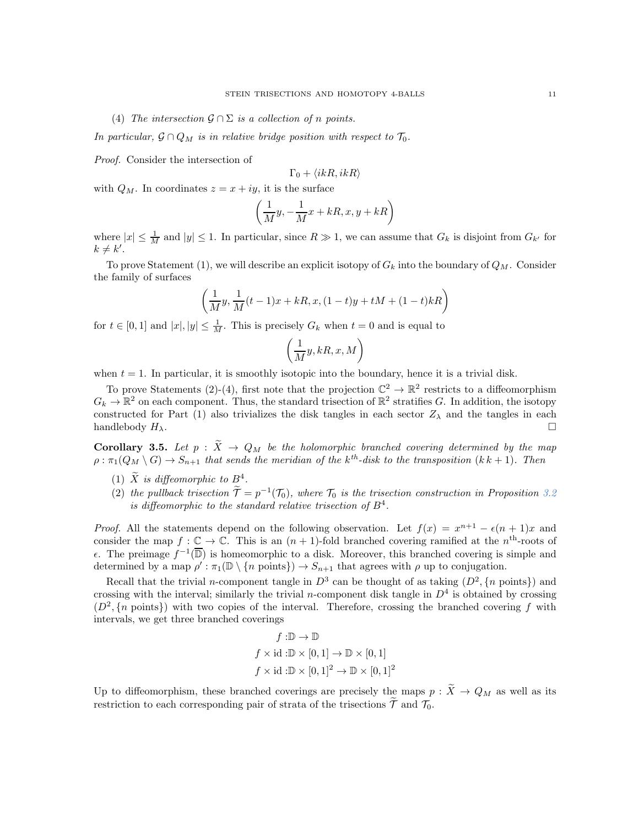(4) The intersection  $\mathcal{G} \cap \Sigma$  is a collection of n points.

In particular,  $\mathcal{G} \cap Q_M$  is in relative bridge position with respect to  $\mathcal{T}_0$ .

Proof. Consider the intersection of

$$
\Gamma_0+\langle ikR, ikR\rangle
$$

with  $Q_M$ . In coordinates  $z = x + iy$ , it is the surface

$$
\left(\frac{1}{M}y,-\frac{1}{M}x+kR,x,y+kR\right)
$$

where  $|x| \leq \frac{1}{M}$  and  $|y| \leq 1$ . In particular, since  $R \gg 1$ , we can assume that  $G_k$  is disjoint from  $G_{k'}$  for  $k \neq k'.$ 

To prove Statement (1), we will describe an explicit isotopy of  $G_k$  into the boundary of  $Q_M$ . Consider the family of surfaces

$$
\left(\frac{1}{M}y,\frac{1}{M}(t-1)x+kR,x,(1-t)y+tM+(1-t)kR\right)
$$

for  $t \in [0,1]$  and  $|x|, |y| \leq \frac{1}{M}$ . This is precisely  $G_k$  when  $t = 0$  and is equal to

$$
\left(\frac{1}{M}y,kR,x,M\right)
$$

when  $t = 1$ . In particular, it is smoothly isotopic into the boundary, hence it is a trivial disk.

To prove Statements (2)-(4), first note that the projection  $\mathbb{C}^2 \to \mathbb{R}^2$  restricts to a diffeomorphism  $G_k \to \mathbb{R}^2$  on each component. Thus, the standard trisection of  $\mathbb{R}^2$  stratifies G. In addition, the isotopy constructed for Part (1) also trivializes the disk tangles in each sector  $Z_{\lambda}$  and the tangles in each handlebody  $H_{\lambda}$ .

<span id="page-10-0"></span>**Corollary 3.5.** Let  $p : \tilde{X} \to Q_M$  be the holomorphic branched covering determined by the map  $\rho: \pi_1(Q_M \setminus G) \to S_{n+1}$  that sends the meridian of the k<sup>th</sup>-disk to the transposition  $(k k + 1)$ . Then

- (1)  $\tilde{X}$  is diffeomorphic to  $B^4$ .
- (2) the pullback trisection  $\tilde{\mathcal{T}} = p^{-1}(\mathcal{T}_0)$ , where  $\mathcal{T}_0$  is the trisection construction in Proposition [3.2](#page-9-0) is diffeomorphic to the standard relative trisection of  $B^4$ .

*Proof.* All the statements depend on the following observation. Let  $f(x) = x^{n+1} - \epsilon (n+1)x$  and consider the map  $f: \underline{\mathbb{C}} \to \mathbb{C}$ . This is an  $(n + 1)$ -fold branched covering ramified at the  $n^{\text{th}}$ -roots of  $ε$ . The preimage  $f^{-1}(\overline{D})$  is homeomorphic to a disk. Moreover, this branched covering is simple and determined by a map  $\rho': \pi_1(\mathbb{D} \setminus \{n \text{ points}\}) \to S_{n+1}$  that agrees with  $\rho$  up to conjugation.

Recall that the trivial *n*-component tangle in  $D^3$  can be thought of as taking  $(D^2, \{n \text{ points}\})$  and crossing with the interval; similarly the trivial *n*-component disk tangle in  $D<sup>4</sup>$  is obtained by crossing  $(D^2, \{n \text{ points}\})$  with two copies of the interval. Therefore, crossing the branched covering f with intervals, we get three branched coverings

$$
f: \mathbb{D} \to \mathbb{D}
$$
  

$$
f \times id: \mathbb{D} \times [0,1] \to \mathbb{D} \times [0,1]
$$
  

$$
f \times id: \mathbb{D} \times [0,1]^2 \to \mathbb{D} \times [0,1]^2
$$

Up to diffeomorphism, these branched coverings are precisely the maps  $p : \tilde{X} \to Q_M$  as well as its restriction to each corresponding pair of strata of the trisections  $\widetilde{\mathcal{T}}$  and  $\mathcal{T}_0$ .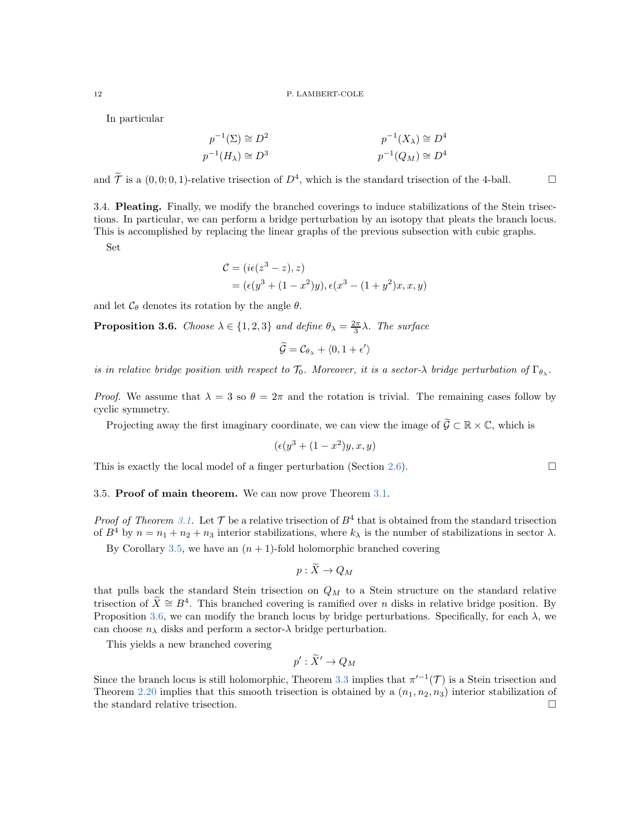In particular

$$
p^{-1}(\Sigma) \cong D^2
$$
  
\n
$$
p^{-1}(H_\lambda) \cong D^3
$$
  
\n
$$
p^{-1}(Q_M) \cong D^4
$$
  
\n
$$
p^{-1}(Q_M) \cong D^4
$$

and  $\widetilde{\mathcal{T}}$  is a  $(0,0;0,1)$ -relative trisection of  $D^4$ , which is the standard trisection of the 4-ball.

3.4. Pleating. Finally, we modify the branched coverings to induce stabilizations of the Stein trisections. In particular, we can perform a bridge perturbation by an isotopy that pleats the branch locus. This is accomplished by replacing the linear graphs of the previous subsection with cubic graphs.

Set

$$
C = (i\epsilon(z^3 - z), z)
$$
  
=  $(\epsilon(y^3 + (1 - x^2)y), \epsilon(x^3 - (1 + y^2)x, x, y)$ 

and let  $\mathcal{C}_{\theta}$  denotes its rotation by the angle  $\theta$ .

<span id="page-11-0"></span>**Proposition 3.6.** Choose  $\lambda \in \{1, 2, 3\}$  and define  $\theta_{\lambda} = \frac{2\pi}{3}\lambda$ . The surface

$$
\widetilde{\mathcal{G}} = \mathcal{C}_{\theta_{\lambda}} + \langle 0, 1 + \epsilon' \rangle
$$

is in relative bridge position with respect to  $\mathcal{T}_0$ . Moreover, it is a sector- $\lambda$  bridge perturbation of  $\Gamma_{\theta_{\lambda}}$ .

Proof. We assume that  $\lambda = 3$  so  $\theta = 2\pi$  and the rotation is trivial. The remaining cases follow by cyclic symmetry.

Projecting away the first imaginary coordinate, we can view the image of  $\widetilde{G} \subset \mathbb{R} \times \mathbb{C}$ , which is

$$
(\epsilon(y^3 + (1 - x^2)y, x, y)
$$

This is exactly the local model of a finger perturbation (Section [2.6\)](#page-7-1).

# 3.5. Proof of main theorem. We can now prove Theorem [3.1.](#page-8-1)

*Proof of Theorem [3.1.](#page-8-1)* Let  $\mathcal T$  be a relative trisection of  $B^4$  that is obtained from the standard trisection of  $B^4$  by  $n = n_1 + n_2 + n_3$  interior stabilizations, where  $k_{\lambda}$  is the number of stabilizations in sector  $\lambda$ .

By Corollary [3.5,](#page-10-0) we have an  $(n + 1)$ -fold holomorphic branched covering

$$
p:X\to Q_M
$$

that pulls back the standard Stein trisection on  $Q_M$  to a Stein structure on the standard relative trisection of  $\tilde{X} \cong B^4$ . This branched covering is ramified over *n* disks in relative bridge position. By Proposition [3.6,](#page-11-0) we can modify the branch locus by bridge perturbations. Specifically, for each  $\lambda$ , we can choose  $n_{\lambda}$  disks and perform a sector- $\lambda$  bridge perturbation.

This yields a new branched covering

$$
p': \widetilde{X}' \to Q_M
$$

Since the branch locus is still holomorphic, Theorem [3.3](#page-9-1) implies that  $\pi'^{-1}(\mathcal{T})$  is a Stein trisection and Theorem [2.20](#page-7-0) implies that this smooth trisection is obtained by a  $(n_1, n_2, n_3)$  interior stabilization of the standard relative trisection.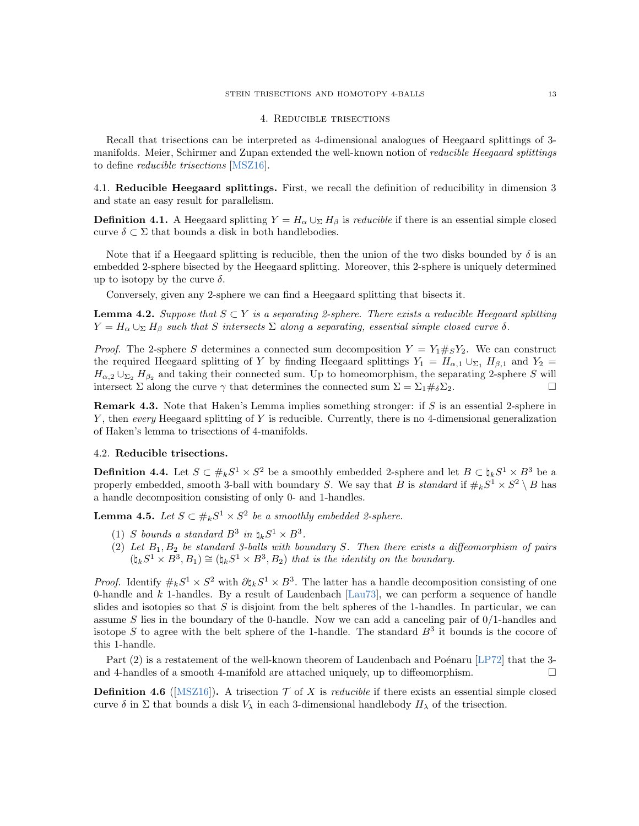#### STEIN TRISECTIONS AND HOMOTOPY 4-BALLS 13

### 4. Reducible trisections

Recall that trisections can be interpreted as 4-dimensional analogues of Heegaard splittings of 3 manifolds. Meier, Schirmer and Zupan extended the well-known notion of reducible Heegaard splittings to define reducible trisections [\[MSZ16\]](#page-16-3).

4.1. Reducible Heegaard splittings. First, we recall the definition of reducibility in dimension 3 and state an easy result for parallelism.

**Definition 4.1.** A Heegaard splitting  $Y = H_\alpha \cup_\Sigma H_\beta$  is *reducible* if there is an essential simple closed curve  $\delta \subset \Sigma$  that bounds a disk in both handlebodies.

Note that if a Heegaard splitting is reducible, then the union of the two disks bounded by  $\delta$  is an embedded 2-sphere bisected by the Heegaard splitting. Moreover, this 2-sphere is uniquely determined up to isotopy by the curve  $\delta$ .

Conversely, given any 2-sphere we can find a Heegaard splitting that bisects it.

<span id="page-12-1"></span>**Lemma 4.2.** Suppose that  $S \subset Y$  is a separating 2-sphere. There exists a reducible Heegaard splitting  $Y = H_\alpha \cup_{\Sigma} H_\beta$  such that S intersects  $\Sigma$  along a separating, essential simple closed curve  $\delta$ .

*Proof.* The 2-sphere S determines a connected sum decomposition  $Y = Y_1 \#_S Y_2$ . We can construct the required Heegaard splitting of Y by finding Heegaard splittings  $Y_1 = H_{\alpha,1} \cup_{\Sigma_1} H_{\beta,1}$  and  $Y_2 =$  $H_{\alpha,2} \cup_{\Sigma_2} H_{\beta_2}$  and taking their connected sum. Up to homeomorphism, the separating 2-sphere S will intersect  $\Sigma$  along the curve  $\gamma$  that determines the connected sum  $\Sigma = \Sigma_1 \#_{\delta} \Sigma_2$ .

**Remark 4.3.** Note that Haken's Lemma implies something stronger: if  $S$  is an essential 2-sphere in Y, then every Heegaard splitting of Y is reducible. Currently, there is no 4-dimensional generalization of Haken's lemma to trisections of 4-manifolds.

# 4.2. Reducible trisections.

<span id="page-12-2"></span>**Definition 4.4.** Let  $S \subset \#_k S^1 \times S^2$  be a smoothly embedded 2-sphere and let  $B \subset \natural_k S^1 \times B^3$  be a properly embedded, smooth 3-ball with boundary S. We say that B is standard if  $\#_k S^1 \times S^2 \setminus B$  has a handle decomposition consisting of only 0- and 1-handles.

<span id="page-12-0"></span>**Lemma 4.5.** Let  $S \subset \#_k S^1 \times S^2$  be a smoothly embedded 2-sphere.

- (1) S bounds a standard  $B^3$  in  $\natural_k S^1 \times B^3$ .
- (2) Let  $B_1, B_2$  be standard 3-balls with boundary S. Then there exists a diffeomorphism of pairs  $(\natural_k S^1 \times B^3, B_1) \cong (\natural_k S^1 \times B^3, B_2)$  that is the identity on the boundary.

*Proof.* Identify  $\#_k S^1 \times S^2$  with  $\partial \natural_k S^1 \times B^3$ . The latter has a handle decomposition consisting of one 0-handle and k 1-handles. By a result of Laudenbach [\[Lau73\]](#page-16-16), we can perform a sequence of handle slides and isotopies so that  $S$  is disjoint from the belt spheres of the 1-handles. In particular, we can assume S lies in the boundary of the 0-handle. Now we can add a canceling pair of  $0/1$ -handles and isotope S to agree with the belt sphere of the 1-handle. The standard  $B<sup>3</sup>$  it bounds is the cocore of this 1-handle.

Part  $(2)$  is a restatement of the well-known theorem of Laudenbach and Poénaru [\[LP72\]](#page-16-2) that the 3and 4-handles of a smooth 4-manifold are attached uniquely, up to diffeomorphism.  $\Box$ 

**Definition 4.6** ([\[MSZ16\]](#page-16-3)). A trisection  $\mathcal{T}$  of X is *reducible* if there exists an essential simple closed curve  $\delta$  in  $\Sigma$  that bounds a disk  $V_{\lambda}$  in each 3-dimensional handlebody  $H_{\lambda}$  of the trisection.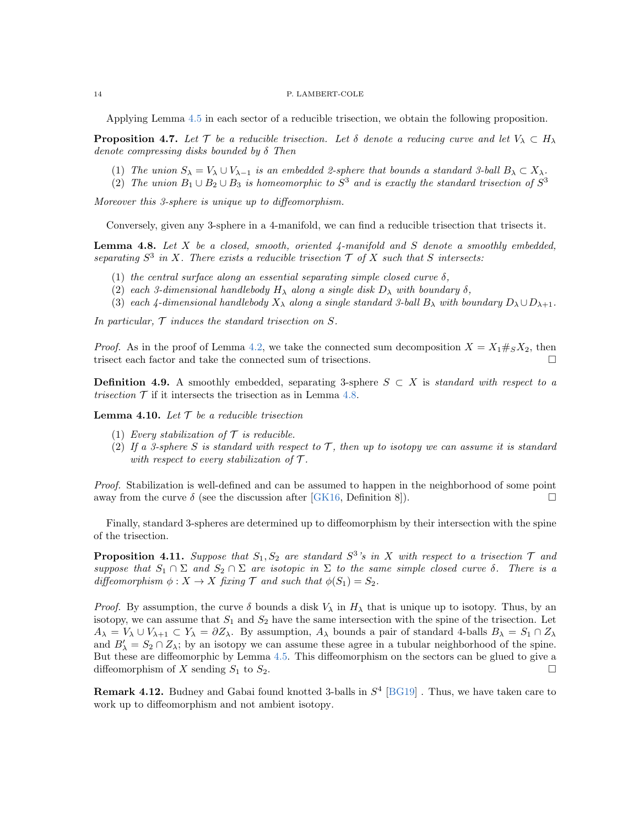Applying Lemma [4.5](#page-12-0) in each sector of a reducible trisection, we obtain the following proposition.

**Proposition 4.7.** Let T be a reducible trisection. Let  $\delta$  denote a reducing curve and let  $V_{\lambda} \subset H_{\lambda}$ denote compressing disks bounded by  $\delta$  Then

- (1) The union  $S_\lambda = V_\lambda \cup V_{\lambda-1}$  is an embedded 2-sphere that bounds a standard 3-ball  $B_\lambda \subset X_\lambda$ .
- (2) The union  $B_1 \cup B_2 \cup B_3$  is homeomorphic to  $S^3$  and is exactly the standard trisection of  $S^3$

Moreover this 3-sphere is unique up to diffeomorphism.

Conversely, given any 3-sphere in a 4-manifold, we can find a reducible trisection that trisects it.

<span id="page-13-0"></span>**Lemma 4.8.** Let  $X$  be a closed, smooth, oriented  $\sharp$ -manifold and  $S$  denote a smoothly embedded, separating  $S^3$  in X. There exists a reducible trisection  $\mathcal T$  of X such that S intersects:

- (1) the central surface along an essential separating simple closed curve  $\delta$ ,
- (2) each 3-dimensional handlebody  $H_{\lambda}$  along a single disk  $D_{\lambda}$  with boundary  $\delta$ ,
- (3) each 4-dimensional handlebody  $X_\lambda$  along a single standard 3-ball  $B_\lambda$  with boundary  $D_\lambda \cup D_{\lambda+1}$ .

In particular,  $\mathcal T$  induces the standard trisection on  $S$ .

*Proof.* As in the proof of Lemma [4.2,](#page-12-1) we take the connected sum decomposition  $X = X_1 \#_S X_2$ , then trisect each factor and take the connected sum of trisections.

**Definition 4.9.** A smoothly embedded, separating 3-sphere  $S \subset X$  is standard with respect to a trisection  $\mathcal T$  if it intersects the trisection as in Lemma [4.8.](#page-13-0)

**Lemma 4.10.** Let  $\mathcal T$  be a reducible trisection

- (1) Every stabilization of  $\mathcal T$  is reducible.
- (2) If a 3-sphere S is standard with respect to  $\mathcal{T}$ , then up to isotopy we can assume it is standard with respect to every stabilization of  $\mathcal T$ .

Proof. Stabilization is well-defined and can be assumed to happen in the neighborhood of some point away from the curve  $\delta$  (see the discussion after [\[GK16,](#page-16-9) Definition 8]).

Finally, standard 3-spheres are determined up to diffeomorphism by their intersection with the spine of the trisection.

**Proposition 4.11.** Suppose that  $S_1, S_2$  are standard  $S^3$ 's in X with respect to a trisection  $\mathcal{T}$  and suppose that  $S_1 \cap \Sigma$  and  $S_2 \cap \Sigma$  are isotopic in  $\Sigma$  to the same simple closed curve  $\delta$ . There is a diffeomorphism  $\phi: X \to X$  fixing  $\mathcal T$  and such that  $\phi(S_1) = S_2$ .

*Proof.* By assumption, the curve  $\delta$  bounds a disk  $V_{\lambda}$  in  $H_{\lambda}$  that is unique up to isotopy. Thus, by an isotopy, we can assume that  $S_1$  and  $S_2$  have the same intersection with the spine of the trisection. Let  $A_{\lambda} = V_{\lambda} \cup V_{\lambda+1} \subset Y_{\lambda} = \partial Z_{\lambda}$ . By assumption,  $A_{\lambda}$  bounds a pair of standard 4-balls  $B_{\lambda} = S_1 \cap Z_{\lambda}$ and  $B'_{\lambda} = S_2 \cap Z_{\lambda}$ ; by an isotopy we can assume these agree in a tubular neighborhood of the spine. But these are diffeomorphic by Lemma [4.5.](#page-12-0) This diffeomorphism on the sectors can be glued to give a diffeomorphism of X sending  $S_1$  to  $S_2$ .

**Remark 4.12.** Budney and Gabai found knotted 3-balls in  $S<sup>4</sup>$  [\[BG19\]](#page-16-17). Thus, we have taken care to work up to diffeomorphism and not ambient isotopy.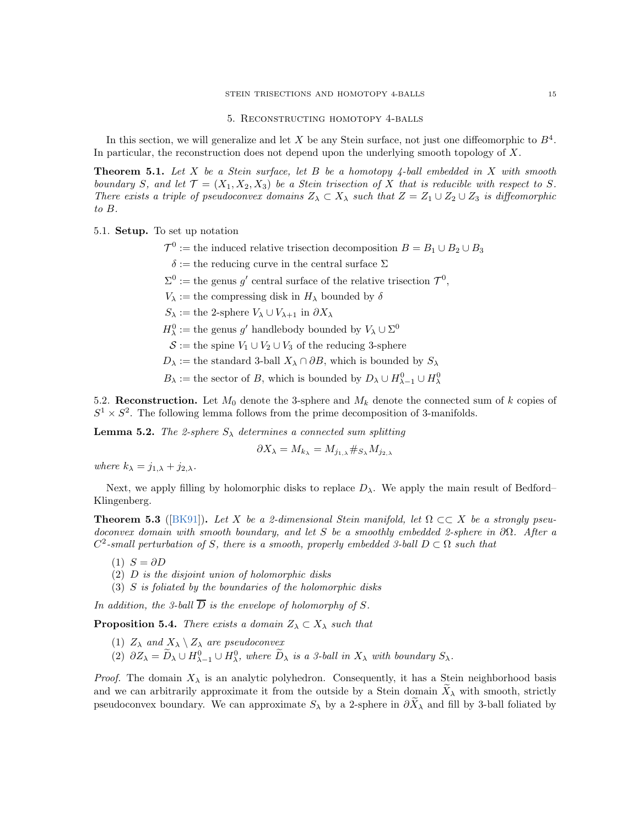### 5. Reconstructing homotopy 4-balls

<span id="page-14-0"></span>In this section, we will generalize and let X be any Stein surface, not just one diffeomorphic to  $B<sup>4</sup>$ . In particular, the reconstruction does not depend upon the underlying smooth topology of X.

<span id="page-14-2"></span>**Theorem 5.1.** Let X be a Stein surface, let B be a homotopy  $4$ -ball embedded in X with smooth boundary S, and let  $\mathcal{T} = (X_1, X_2, X_3)$  be a Stein trisection of X that is reducible with respect to S. There exists a triple of pseudoconvex domains  $Z_{\lambda} \subset X_{\lambda}$  such that  $Z = Z_1 \cup Z_2 \cup Z_3$  is diffeomorphic to B.

5.1. Setup. To set up notation

- $\mathcal{T}^0 :=$  the induced relative trisection decomposition  $B = B_1 \cup B_2 \cup B_3$ 
	- $\delta :=$  the reducing curve in the central surface  $\Sigma$
- $\Sigma^0 :=$  the genus g' central surface of the relative trisection  $\mathcal{T}^0$ ,

 $V_{\lambda}$  := the compressing disk in  $H_{\lambda}$  bounded by  $\delta$ 

 $S_{\lambda} :=$  the 2-sphere  $V_{\lambda} \cup V_{\lambda+1}$  in  $\partial X_{\lambda}$ 

 $H^0_\lambda :=$  the genus  $g'$  handlebody bounded by  $V_\lambda \cup \Sigma^0$ 

- $\mathcal{S} :=$  the spine  $V_1 \cup V_2 \cup V_3$  of the reducing 3-sphere
- $D_{\lambda}$  := the standard 3-ball  $X_{\lambda} \cap \partial B$ , which is bounded by  $S_{\lambda}$
- $B_{\lambda} :=$  the sector of B, which is bounded by  $D_{\lambda} \cup H_{\lambda-1}^0 \cup H_{\lambda}^0$

5.2. Reconstruction. Let  $M_0$  denote the 3-sphere and  $M_k$  denote the connected sum of k copies of  $S^1 \times S^2$ . The following lemma follows from the prime decomposition of 3-manifolds.

**Lemma 5.2.** The 2-sphere  $S_{\lambda}$  determines a connected sum splitting

$$
\partial X_{\lambda} = M_{k_{\lambda}} = M_{j_{1,\lambda}} \#_{S_{\lambda}} M_{j_{2,\lambda}}
$$

where  $k_{\lambda} = j_{1,\lambda} + j_{2,\lambda}$ .

Next, we apply filling by holomorphic disks to replace  $D_{\lambda}$ . We apply the main result of Bedford– Klingenberg.

<span id="page-14-1"></span>**Theorem 5.3** ([\[BK91\]](#page-16-7)). Let X be a 2-dimensional Stein manifold, let  $\Omega \subset \subset X$  be a strongly pseudoconvex domain with smooth boundary, and let S be a smoothly embedded 2-sphere in  $\partial\Omega$ . After a  $C^2$ -small perturbation of S, there is a smooth, properly embedded 3-ball  $D \subset \Omega$  such that

- $(1)$   $S = \partial D$
- $(2)$  D is the disjoint union of holomorphic disks
- (3) S is foliated by the boundaries of the holomorphic disks

In addition, the 3-ball  $\overline{D}$  is the envelope of holomorphy of S.

**Proposition 5.4.** There exists a domain  $Z_{\lambda} \subset X_{\lambda}$  such that

- (1)  $Z_{\lambda}$  and  $X_{\lambda} \setminus Z_{\lambda}$  are pseudoconvex
- (2)  $\partial Z_{\lambda} = \widetilde{D}_{\lambda} \cup H_{\lambda-1}^0 \cup H_{\lambda}^0$ , where  $\widetilde{D}_{\lambda}$  is a 3-ball in  $X_{\lambda}$  with boundary  $S_{\lambda}$ .

*Proof.* The domain  $X_{\lambda}$  is an analytic polyhedron. Consequently, it has a Stein neighborhood basis and we can arbitrarily approximate it from the outside by a Stein domain  $X_\lambda$  with smooth, strictly pseudoconvex boundary. We can approximate  $S_\lambda$  by a 2-sphere in  $\partial \tilde{X}_\lambda$  and fill by 3-ball foliated by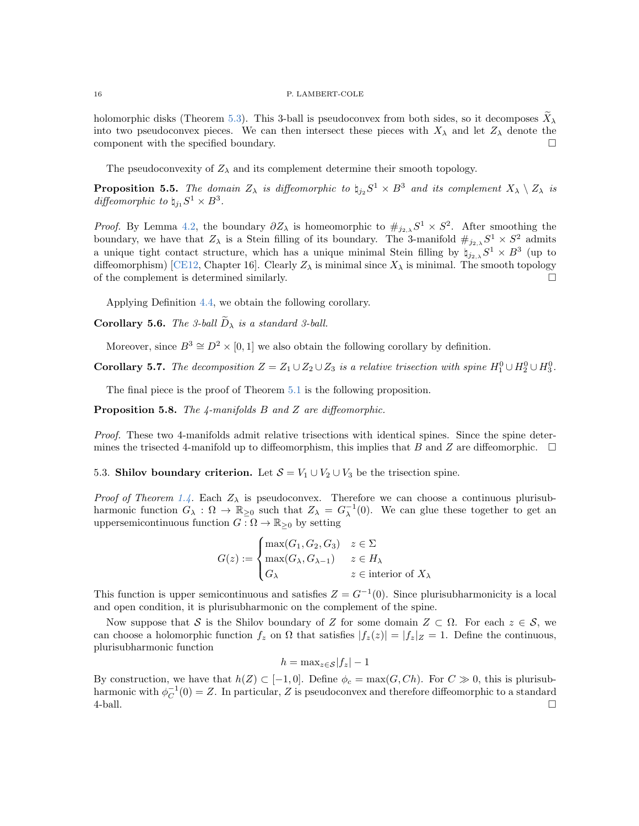holomorphic disks (Theorem [5.3\)](#page-14-1). This 3-ball is pseudoconvex from both sides, so it decomposes  $X_{\lambda}$ into two pseudoconvex pieces. We can then intersect these pieces with  $X_{\lambda}$  and let  $Z_{\lambda}$  denote the component with the specified boundary.

The pseudoconvexity of  $Z_{\lambda}$  and its complement determine their smooth topology.

**Proposition 5.5.** The domain  $Z_{\lambda}$  is diffeomorphic to  $\natural_{j_2} S^1 \times B^3$  and its complement  $X_{\lambda} \setminus Z_{\lambda}$  is diffeomorphic to  $\natural_{j_1} S^1 \times B^3$ .

*Proof.* By Lemma [4.2,](#page-12-1) the boundary  $\partial Z_{\lambda}$  is homeomorphic to  $\#_{j_{2,\lambda}} S^1 \times S^2$ . After smoothing the boundary, we have that  $Z_{\lambda}$  is a Stein filling of its boundary. The 3-manifold  $\#_{j_2,\lambda} S^1 \times S^2$  admits a unique tight contact structure, which has a unique minimal Stein filling by  $\sharp_{j_2,\lambda} S^1 \times B^3$  (up to diffeomorphism) [\[CE12,](#page-16-18) Chapter 16]. Clearly  $Z_{\lambda}$  is minimal since  $X_{\lambda}$  is minimal. The smooth topology of the complement is determined similarly.

Applying Definition [4.4,](#page-12-2) we obtain the following corollary.

**Corollary 5.6.** The 3-ball  $\widetilde{D}_{\lambda}$  is a standard 3-ball.

Moreover, since  $B^3 \cong D^2 \times [0, 1]$  we also obtain the following corollary by definition.

**Corollary 5.7.** The decomposition  $Z = Z_1 \cup Z_2 \cup Z_3$  is a relative trisection with spine  $H_1^0 \cup H_2^0 \cup H_3^0$ .

The final piece is the proof of Theorem [5.1](#page-14-2) is the following proposition.

**Proposition 5.8.** The 4-manifolds  $B$  and  $Z$  are diffeomorphic.

Proof. These two 4-manifolds admit relative trisections with identical spines. Since the spine determines the trisected 4-manifold up to diffeomorphism, this implies that B and Z are diffeomorphic.  $\square$ 

5.3. Shilov boundary criterion. Let  $S = V_1 \cup V_2 \cup V_3$  be the trisection spine.

*Proof of Theorem [1.4.](#page-1-0)* Each  $Z_{\lambda}$  is pseudoconvex. Therefore we can choose a continuous plurisubharmonic function  $G_{\lambda}: \Omega \to \mathbb{R}_{\geq 0}$  such that  $Z_{\lambda} = G_{\lambda}^{-1}(0)$ . We can glue these together to get an uppersemicontinuous function  $G : \Omega \to \mathbb{R}_{\geq 0}$  by setting

$$
G(z) := \begin{cases} \max(G_1, G_2, G_3) & z \in \Sigma \\ \max(G_{\lambda}, G_{\lambda - 1}) & z \in H_{\lambda} \\ G_{\lambda} & z \in \text{interior of } X_{\lambda} \end{cases}
$$

This function is upper semicontinuous and satisfies  $Z = G^{-1}(0)$ . Since plurisubharmonicity is a local and open condition, it is plurisubharmonic on the complement of the spine.

Now suppose that S is the Shilov boundary of Z for some domain  $Z \subset \Omega$ . For each  $z \in \mathcal{S}$ , we can choose a holomorphic function  $f_z$  on  $\Omega$  that satisfies  $|f_z(z)| = |f_z|_Z = 1$ . Define the continuous, plurisubharmonic function

$$
h = \max_{z \in \mathcal{S}} |f_z| - 1
$$

By construction, we have that  $h(Z) \subset [-1,0]$ . Define  $\phi_c = \max(G, Ch)$ . For  $C \gg 0$ , this is plurisubharmonic with  $\phi_C^{-1}(0) = Z$ . In particular, Z is pseudoconvex and therefore diffeomorphic to a standard  $\Box$